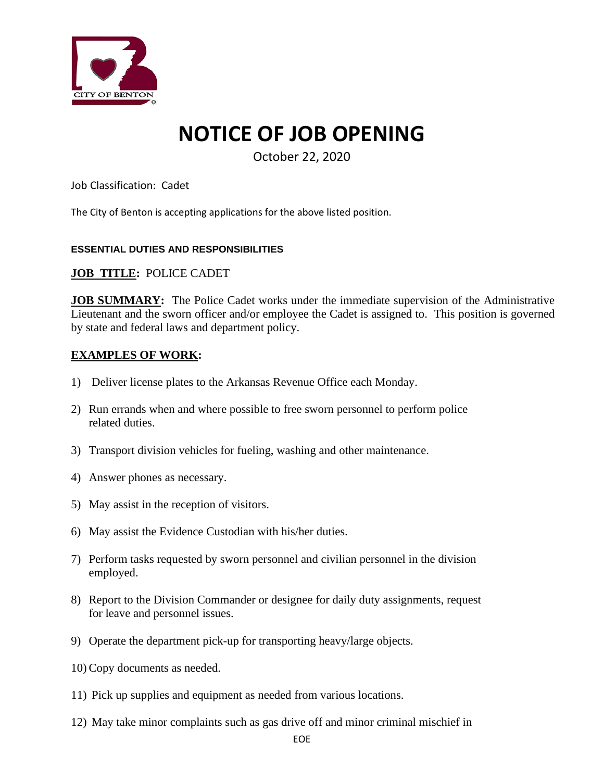

# **NOTICE OF JOB OPENING**

October 22, 2020

Job Classification: Cadet

The City of Benton is accepting applications for the above listed position.

#### **ESSENTIAL DUTIES AND RESPONSIBILITIES**

### **JOB TITLE:** POLICE CADET

**JOB SUMMARY:** The Police Cadet works under the immediate supervision of the Administrative Lieutenant and the sworn officer and/or employee the Cadet is assigned to. This position is governed by state and federal laws and department policy.

### **EXAMPLES OF WORK:**

- 1) Deliver license plates to the Arkansas Revenue Office each Monday.
- 2) Run errands when and where possible to free sworn personnel to perform police related duties.
- 3) Transport division vehicles for fueling, washing and other maintenance.
- 4) Answer phones as necessary.
- 5) May assist in the reception of visitors.
- 6) May assist the Evidence Custodian with his/her duties.
- 7) Perform tasks requested by sworn personnel and civilian personnel in the division employed.
- 8) Report to the Division Commander or designee for daily duty assignments, request for leave and personnel issues.
- 9) Operate the department pick-up for transporting heavy/large objects.
- 10) Copy documents as needed.
- 11) Pick up supplies and equipment as needed from various locations.
- 12) May take minor complaints such as gas drive off and minor criminal mischief in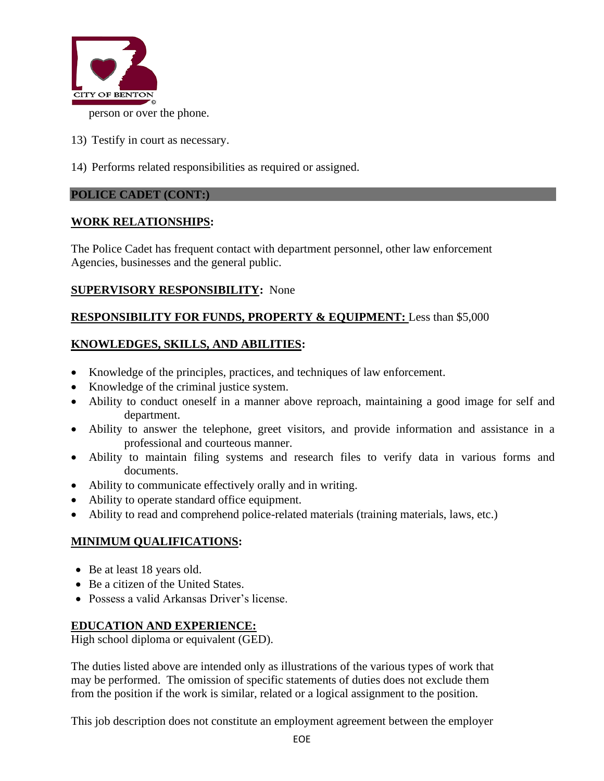

- 13) Testify in court as necessary.
- 14) Performs related responsibilities as required or assigned.

### **POLICE CADET (CONT:)**

## **WORK RELATIONSHIPS:**

The Police Cadet has frequent contact with department personnel, other law enforcement Agencies, businesses and the general public.

### **SUPERVISORY RESPONSIBILITY:** None

## **RESPONSIBILITY FOR FUNDS, PROPERTY & EQUIPMENT:** Less than \$5,000

## **KNOWLEDGES, SKILLS, AND ABILITIES:**

- Knowledge of the principles, practices, and techniques of law enforcement.
- Knowledge of the criminal justice system.
- Ability to conduct oneself in a manner above reproach, maintaining a good image for self and department.
- Ability to answer the telephone, greet visitors, and provide information and assistance in a professional and courteous manner.
- Ability to maintain filing systems and research files to verify data in various forms and documents.
- Ability to communicate effectively orally and in writing.
- Ability to operate standard office equipment.
- Ability to read and comprehend police-related materials (training materials, laws, etc.)

## **MINIMUM QUALIFICATIONS:**

- Be at least 18 years old.
- Be a citizen of the United States.
- Possess a valid Arkansas Driver's license.

## **EDUCATION AND EXPERIENCE:**

High school diploma or equivalent (GED).

The duties listed above are intended only as illustrations of the various types of work that may be performed. The omission of specific statements of duties does not exclude them from the position if the work is similar, related or a logical assignment to the position.

This job description does not constitute an employment agreement between the employer